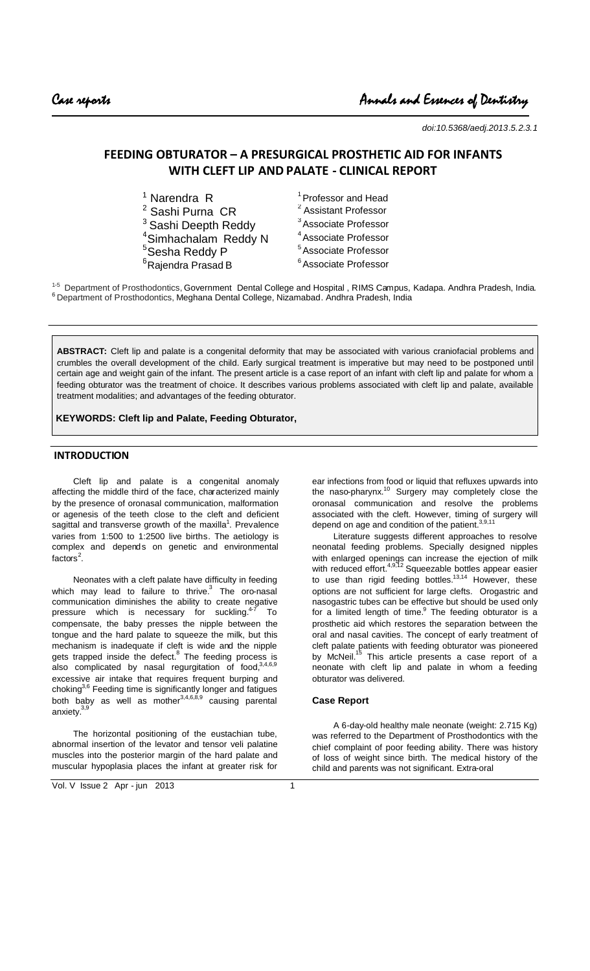*doi:10.5368/aedj.2013.5.2.3.1*

# **FEEDING OBTURATOR – A PRESURGICAL PROSTHETIC AID FOR INFANTS WITH CLEFT LIP AND PALATE - CLINICAL REPORT**

| $1$ Narendra R                   | <sup>1</sup> Professor and Head  |
|----------------------------------|----------------------------------|
| <sup>2</sup> Sashi Purna CR      | <sup>2</sup> Assistant Professor |
| <sup>3</sup> Sashi Deepth Reddy  | <sup>3</sup> Associate Professor |
| <sup>4</sup> Simhachalam Reddy N | <sup>4</sup> Associate Professor |
| <sup>5</sup> Sesha Reddy P       | <sup>5</sup> Associate Professor |
| <sup>6</sup> Rajendra Prasad B   | <sup>6</sup> Associate Professor |

<sup>1-5</sup> Department of Prosthodontics, Government Dental College and Hospital, RIMS Campus, Kadapa. Andhra Pradesh, India. <sup>6</sup> Department of Prosthodontics, Meghana Dental College, Nizamabad. Andhra Pradesh, India

**ABSTRACT:** Cleft lip and palate is a congenital deformity that may be associated with various craniofacial problems and crumbles the overall development of the child. Early surgical treatment is imperative but may need to be postponed until certain age and weight gain of the infant. The present article is a case report of an infant with cleft lip and palate for whom a feeding obturator was the treatment of choice. It describes various problems associated with cleft lip and palate, available treatment modalities; and advantages of the feeding obturator.

**KEYWORDS: Cleft lip and Palate, Feeding Obturator,**

# **INTRODUCTION**

Cleft lip and palate is a congenital anomaly affecting the middle third of the face, characterized mainly by the presence of oronasal communication, malformation or agenesis of the teeth close to the cleft and deficient sagittal and transverse growth of the maxilla<sup>1</sup>. Prevalence varies from 1:500 to 1:2500 live births. The aetiology is complex and depends on genetic and environmental factors<sup>2</sup>.

Neonates with a cleft palate have difficulty in feeding which may lead to failure to thrive. $^3$  The oro-nasal communication diminishes the ability to create negative pressure which is necessary for suckling. $47$  To compensate, the baby presses the nipple between the tongue and the hard palate to squeeze the milk, but this mechanism is inadequate if cleft is wide and the nipple gets trapped inside the defect. $8$  The feeding process is also complicated by nasal regurgitation of  $food$ ,  $3,4,6,9$ excessive air intake that requires frequent burping and choking<sup>3,6</sup> Feeding time is significantly longer and fatigues both baby as well as mother $^{3,4,6,8,9}$  causing parental anxiety.<sup>3</sup>

The horizontal positioning of the eustachian tube, abnormal insertion of the levator and tensor veli palatine muscles into the posterior margin of the hard palate and muscular hypoplasia places the infant at greater risk for

ear infections from food or liquid that refluxes upwards into the naso-pharynx.<sup>10</sup> Surgery may completely close the oronasal communication and resolve the problems associated with the cleft. However, timing of surgery will depend on age and condition of the patient.<sup>3,9,11</sup>

Literature suggests different approaches to resolve neonatal feeding problems. Specially designed nipples with enlarged openings can increase the ejection of milk with reduced effort.<sup>4,9,12</sup> Squeezable bottles appear easier to use than rigid feeding bottles.<sup>13,14</sup> However, these options are not sufficient for large clefts. Orogastric and nasogastric tubes can be effective but should be used only for a limited length of time. $9$  The feeding obturator is a prosthetic aid which restores the separation between the oral and nasal cavities. The concept of early treatment of cleft palate patients with feeding obturator was pioneered by McNeil.<sup>15</sup> This article presents a case report of a neonate with cleft lip and palate in whom a feeding obturator was delivered.

### **Case Report**

A 6-day-old healthy male neonate (weight: 2.715 Kg) was referred to the Department of Prosthodontics with the chief complaint of poor feeding ability. There was history of loss of weight since birth. The medical history of the child and parents was not significant. Extra-oral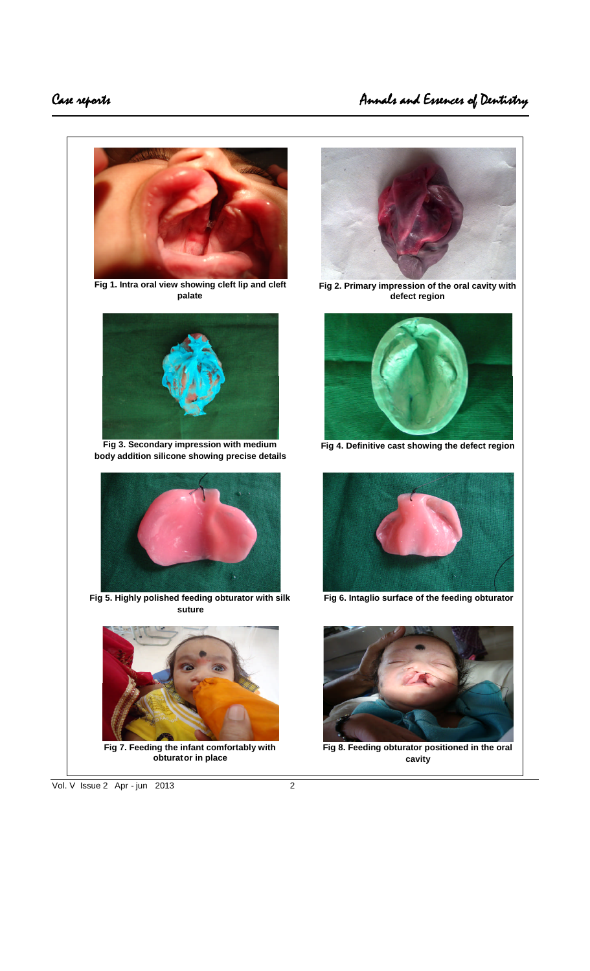



**Fig 2. Primary impression of the oral cavity with defect region**



**Fig 4. Definitive cast showing the defect region**



**Fig 6. Intaglio surface of the feeding obturator**



**Fig 8. Feeding obturator positioned in the oral cavity**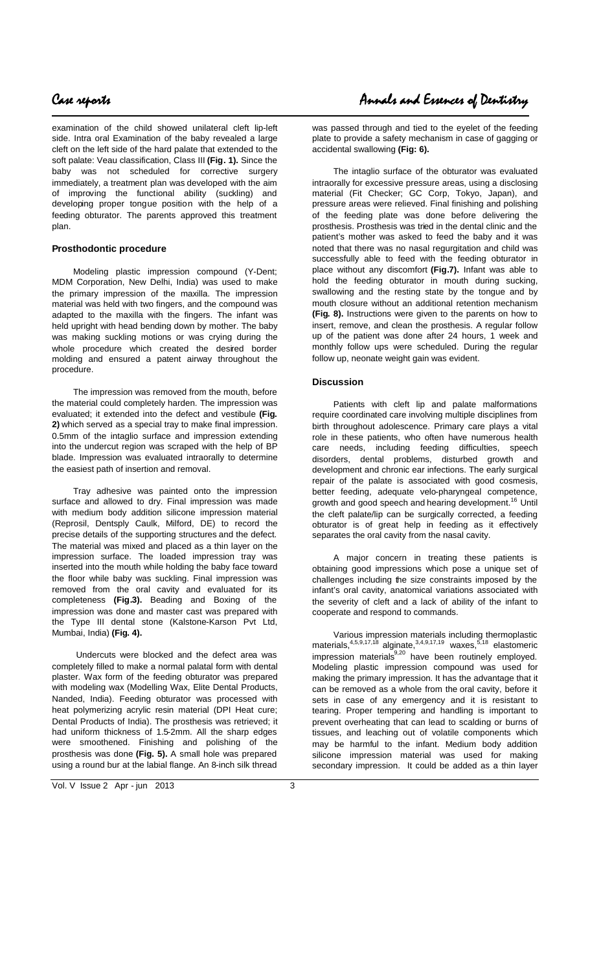examination of the child showed unilateral cleft lip-left side. Intra oral Examination of the baby revealed a large cleft on the left side of the hard palate that extended to the soft palate: Veau classification, Class III **(Fig. 1).** Since the baby was not scheduled for corrective surgery immediately, a treatment plan was developed with the aim of improving the functional ability (suckling) and developing proper tongue position with the help of a feeding obturator. The parents approved this treatment plan.

# **Prosthodontic procedure**

Modeling plastic impression compound (Y-Dent; MDM Corporation, New Delhi, India) was used to make the primary impression of the maxilla. The impression material was held with two fingers, and the compound was adapted to the maxilla with the fingers. The infant was held upright with head bending down by mother. The baby was making suckling motions or was crying during the whole procedure which created the desired border molding and ensured a patent airway throughout the procedure.

The impression was removed from the mouth, before the material could completely harden. The impression was evaluated; it extended into the defect and vestibule **(Fig. 2)** which served as a special tray to make final impression. 0.5mm of the intaglio surface and impression extending into the undercut region was scraped with the help of BP blade. Impression was evaluated intraorally to determine the easiest path of insertion and removal.

Tray adhesive was painted onto the impression surface and allowed to dry. Final impression was made with medium body addition silicone impression material (Reprosil, Dentsply Caulk, Milford, DE) to record the precise details of the supporting structures and the defect. The material was mixed and placed as a thin layer on the impression surface. The loaded impression tray was inserted into the mouth while holding the baby face toward the floor while baby was suckling. Final impression was removed from the oral cavity and evaluated for its completeness **(Fig.3).** Beading and Boxing of the impression was done and master cast was prepared with the Type III dental stone (Kalstone-Karson Pvt Ltd, Mumbai, India) **(Fig. 4).**

Undercuts were blocked and the defect area was completely filled to make a normal palatal form with dental plaster. Wax form of the feeding obturator was prepared with modeling wax (Modelling Wax, Elite Dental Products, Nanded, India). Feeding obturator was processed with heat polymerizing acrylic resin material (DPI Heat cure; Dental Products of India). The prosthesis was retrieved; it had uniform thickness of 1.5-2mm. All the sharp edges were smoothened. Finishing and polishing of the prosthesis was done **(Fig. 5).** A small hole was prepared using a round bur at the labial flange. An 8-inch silk thread

was passed through and tied to the eyelet of the feeding plate to provide a safety mechanism in case of gagging or accidental swallowing **(Fig: 6).**

The intaglio surface of the obturator was evaluated intraorally for excessive pressure areas, using a disclosing material (Fit Checker; GC Corp, Tokyo, Japan), and pressure areas were relieved. Final finishing and polishing of the feeding plate was done before delivering the prosthesis. Prosthesis was tried in the dental clinic and the patient's mother was asked to feed the baby and it was noted that there was no nasal regurgitation and child was successfully able to feed with the feeding obturator in place without any discomfort **(Fig.7).** Infant was able to hold the feeding obturator in mouth during sucking, swallowing and the resting state by the tongue and by mouth closure without an additional retention mechanism **(Fig. 8).** Instructions were given to the parents on how to insert, remove, and clean the prosthesis. A regular follow up of the patient was done after 24 hours, 1 week and monthly follow ups were scheduled. During the regular follow up, neonate weight gain was evident.

## **Discussion**

Patients with cleft lip and palate malformations require coordinated care involving multiple disciplines from birth throughout adolescence. Primary care plays a vital role in these patients, who often have numerous health care needs, including feeding difficulties, speech disorders, dental problems, disturbed growth and development and chronic ear infections. The early surgical repair of the palate is associated with good cosmesis, better feeding, adequate velo-pharyngeal competence, growth and good speech and hearing development.<sup>16</sup> Until the cleft palate/lip can be surgically corrected, a feeding obturator is of great help in feeding as it effectively separates the oral cavity from the nasal cavity.

A major concern in treating these patients is obtaining good impressions which pose a unique set of challenges including the size constraints imposed by the infant's oral cavity, anatomical variations associated with the severity of cleft and a lack of ability of the infant to cooperate and respond to commands.

Various impression materials including thermoplastic materials,<sup>4,5,9,17,18</sup> alginate,<sup>3,4,9,17,19</sup> waxes,<sup>5,18</sup> elastomeric  $impression$  materials  $^{9,20}$  have been routinely employed. Modeling plastic impression compound was used for making the primary impression. It has the advantage that it can be removed as a whole from the oral cavity, before it sets in case of any emergency and it is resistant to tearing. Proper tempering and handling is important to prevent overheating that can lead to scalding or burns of tissues, and leaching out of volatile components which may be harmful to the infant. Medium body addition silicone impression material was used for making secondary impression. It could be added as a thin layer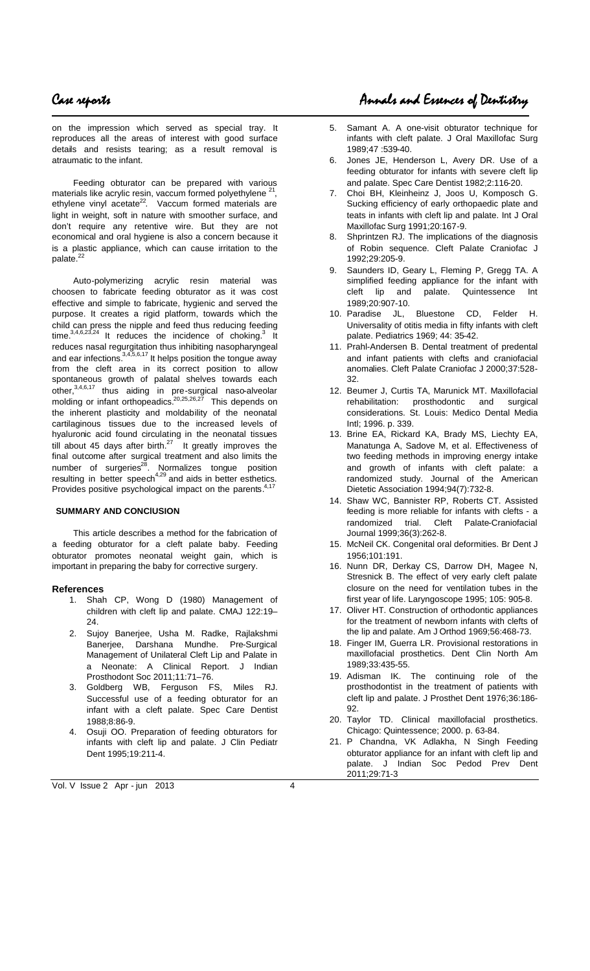on the impression which served as special tray. It reproduces all the areas of interest with good surface details and resists tearing; as a result removal is atraumatic to the infant.

Feeding obturator can be prepared with various materials like acrylic resin, vaccum formed polyethylene , ethylene vinyl acetate<sup>22</sup>. Vaccum formed materials are light in weight, soft in nature with smoother surface, and don't require any retentive wire. But they are not economical and oral hygiene is also a concern because it is a plastic appliance, which can cause irritation to the palate.<sup>22</sup>

Auto-polymerizing acrylic resin material was choosen to fabricate feeding obturator as it was cost effective and simple to fabricate, hygienic and served the purpose. It creates a rigid platform, towards which the child can press the nipple and feed thus reducing feeding time.  $3,4,6,23,24$  It reduces the incidence of choking. It reduces nasal regurgitation thus inhibiting nasopharyngeal and ear infections. $3,4,5,6,17$  It helps position the tongue away from the cleft area in its correct position to allow spontaneous growth of palatal shelves towards each other,<sup>3,4,6,17</sup> thus aiding in pre-surgical naso-alveolar molding or infant orthopeadics.<sup>20,25,26,27</sup> This depends on the inherent plasticity and moldability of the neonatal cartilaginous tissues due to the increased levels of hyaluronic acid found circulating in the neonatal tissues till about 45 days after birth. $^{27}$  It greatly improves the final outcome after surgical treatment and also limits the number of surgeries<sup>28</sup>. Normalizes tongue position resulting in better speech<sup>4,29</sup> and aids in better esthetics. Provides positive psychological impact on the parents.<sup>4,17</sup>

### **SUMMARY AND CONClUSION**

This article describes a method for the fabrication of a feeding obturator for a cleft palate baby. Feeding obturator promotes neonatal weight gain, which is important in preparing the baby for corrective surgery.

### **References**

- 1. Shah CP, Wong D (1980) Management of children with cleft lip and palate. CMAJ 122:19– 24.
- 2. Sujoy Banerjee, Usha M. Radke, Rajlakshmi Banerjee, Darshana Mundhe. Pre-Surgical Management of Unilateral Cleft Lip and Palate in a Neonate: A Clinical Report. J Indian Prosthodont Soc 2011;11:71–76.
- 3. Goldberg WB, Ferguson FS, Miles RJ. Successful use of a feeding obturator for an infant with a cleft palate. Spec Care Dentist 1988;8:86-9.
- 4. Osuji OO. Preparation of feeding obturators for infants with cleft lip and palate. J Clin Pediatr Dent 1995;19:211-4.

# Case reports Annals and Essences of Dentistry

- 5. Samant A. A one-visit obturator technique for infants with cleft palate. J Oral Maxillofac Surg 1989;47 :539-40.
- Jones JE, Henderson L, Avery DR. Use of a feeding obturator for infants with severe cleft lip and palate. Spec Care Dentist 1982;2:116-20.
- 7. Choi BH, Kleinheinz J, Joos U, Komposch G. Sucking efficiency of early orthopaedic plate and teats in infants with cleft lip and palate. Int J Oral Maxillofac Surg 1991;20:167-9.
- 8. Shprintzen RJ. The implications of the diagnosis of Robin sequence. Cleft Palate Craniofac J 1992;29:205-9.
- 9. Saunders ID, Geary L, Fleming P, Gregg TA. A simplified feeding appliance for the infant with cleft lip and palate. Quintessence Int 1989;20:907-10.
- 10. Paradise JL, Bluestone CD, Felder H. Universality of otitis media in fifty infants with cleft palate. Pediatrics 1969; 44: 35-42.
- 11. Prahl-Andersen B. Dental treatment of predental and infant patients with clefts and craniofacial anomalies. Cleft Palate Craniofac J 2000;37:528- 32.
- 12. Beumer J, Curtis TA, Marunick MT. Maxillofacial rehabilitation: prosthodontic and surgical considerations. St. Louis: Medico Dental Media Intl; 1996. p. 339.
- 13. Brine EA, Rickard KA, Brady MS, Liechty EA, Manatunga A, Sadove M, et al. Effectiveness of two feeding methods in improving energy intake and growth of infants with cleft palate: a randomized study. Journal of the American Dietetic Association 1994;94(7):732-8.
- 14. Shaw WC, Bannister RP, Roberts CT. Assisted feeding is more reliable for infants with clefts - a randomized trial. Cleft Palate-Craniofacial Journal 1999;36(3):262-8.
- 15. McNeil CK. Congenital oral deformities. Br Dent J 1956;101:191.
- 16. Nunn DR, Derkay CS, Darrow DH, Magee N, Stresnick B. The effect of very early cleft palate closure on the need for ventilation tubes in the first year of life. Laryngoscope 1995; 105: 905-8.
- 17. Oliver HT. Construction of orthodontic appliances for the treatment of newborn infants with clefts of the lip and palate. Am J Orthod 1969;56:468-73.
- 18. Finger IM, Guerra LR. Provisional restorations in maxillofacial prosthetics. Dent Clin North Am 1989;33:435-55.
- 19. Adisman IK. The continuing role of the prosthodontist in the treatment of patients with cleft lip and palate. J Prosthet Dent 1976;36:186- 92.
- 20. Taylor TD. Clinical maxillofacial prosthetics. Chicago: Quintessence; 2000. p. 63-84.
- 21. P Chandna, VK Adlakha, N Singh Feeding obturator appliance for an infant with cleft lip and palate. J Indian Soc Pedod Prev Dent 2011;29:71-3